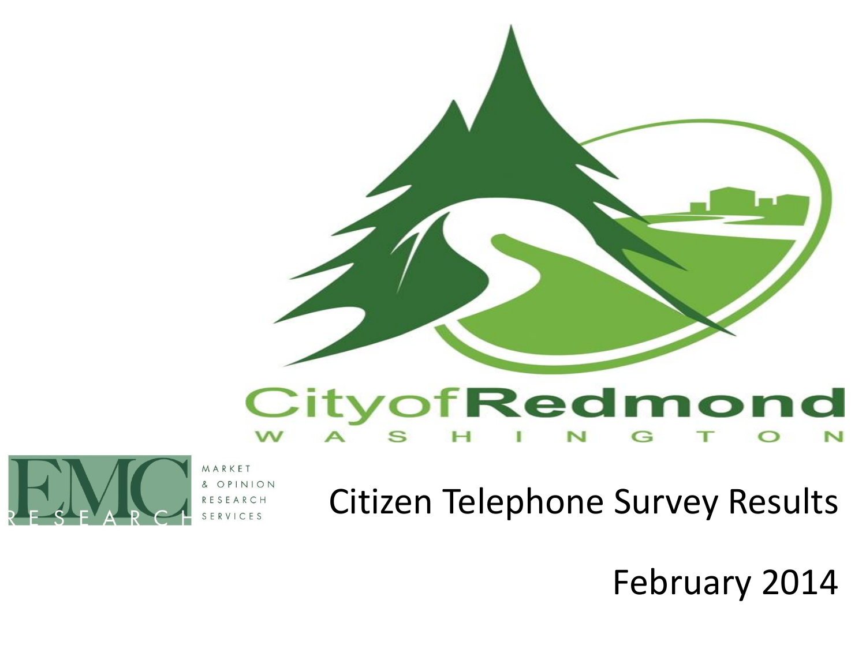

#### CityofRedmond N



VICES

Citizen Telephone Survey Results

February 2014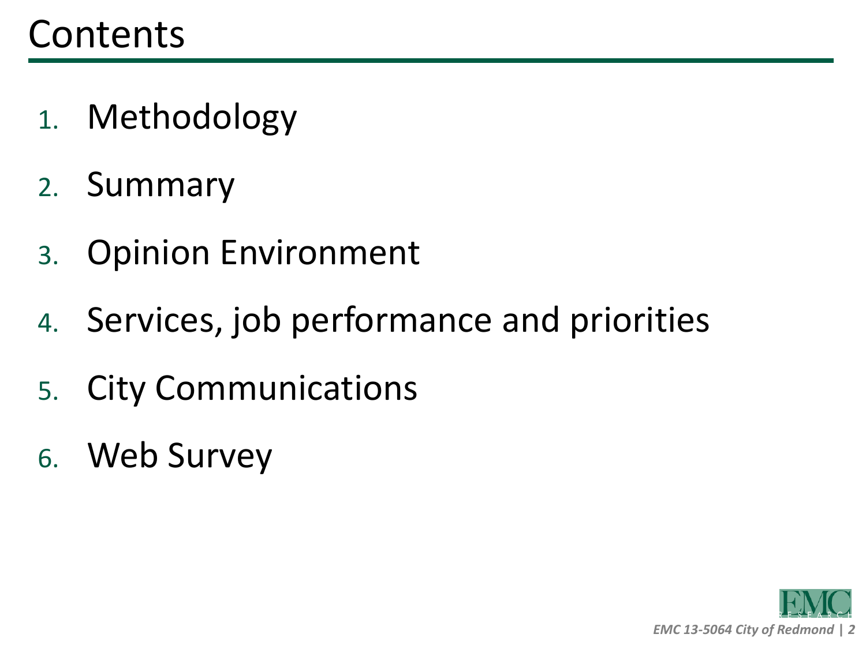- 1. Methodology
- 2. Summary
- 3. Opinion Environment
- 4. Services, job performance and priorities
- 5. City Communications
- 6. Web Survey

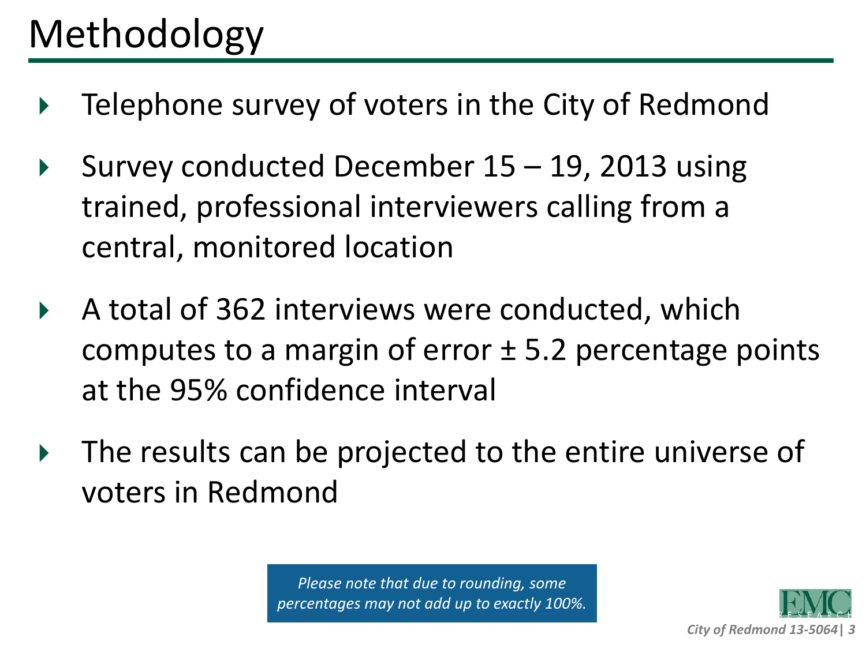# Methodology

- ▶ Telephone survey of voters in the City of Redmond
- Survey conducted December  $15 19$ , 2013 using trained, professional interviewers calling from a central, monitored location
- A total of 362 interviews were conducted, which computes to a margin of error  $\pm$  5.2 percentage points at the 95% confidence interval
- $\triangleright$  The results can be projected to the entire universe of voters in Redmond

*Please note that due to rounding, some percentages may not add up to exactly 100%.*

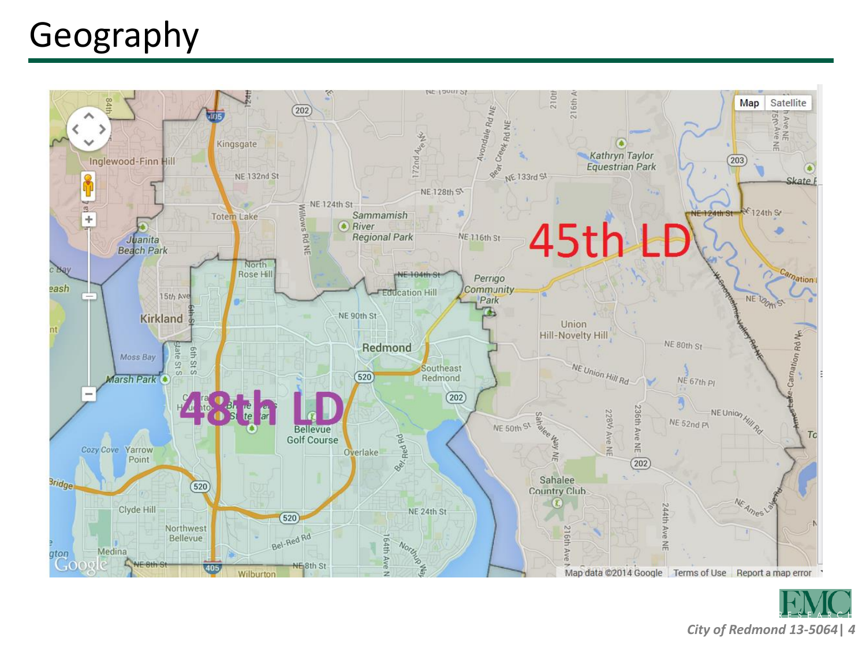## Geography



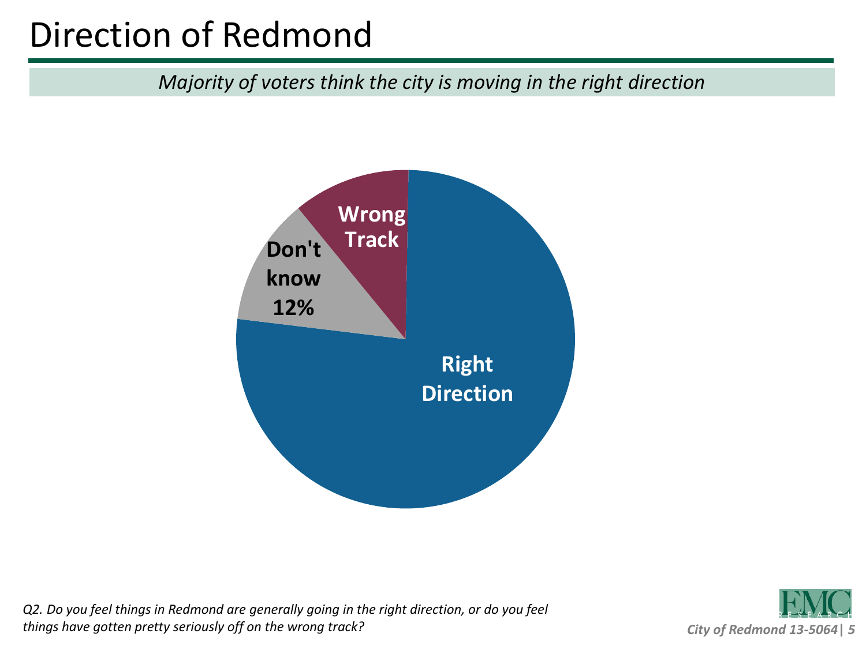### Direction of Redmond

*Majority of voters think the city is moving in the right direction* 



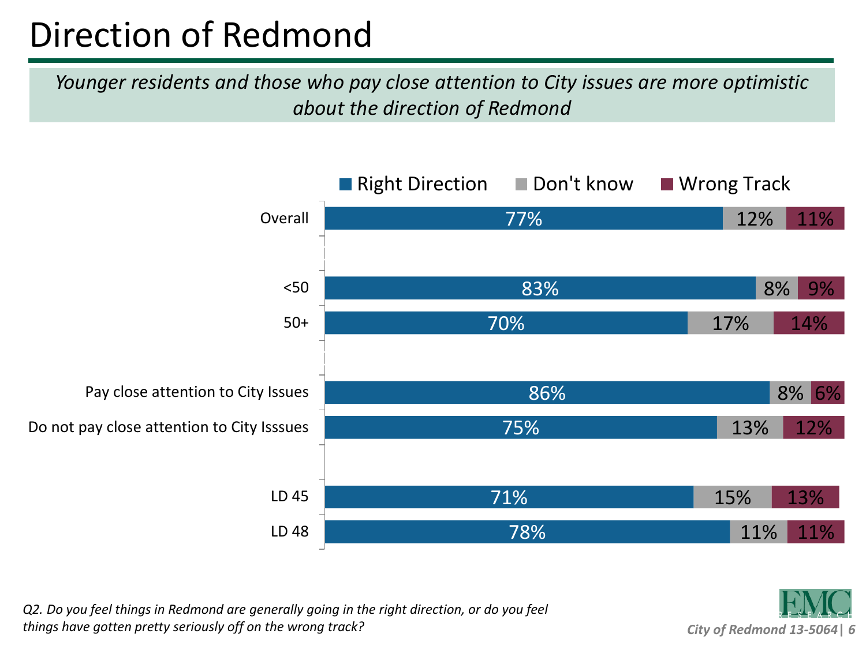#### Direction of Redmond

*Younger residents and those who pay close attention to City issues are more optimistic about the direction of Redmond*



*Q2. Do you feel things in Redmond are generally going in the right direction, or do you feel things have gotten pretty seriously off on the wrong track?*

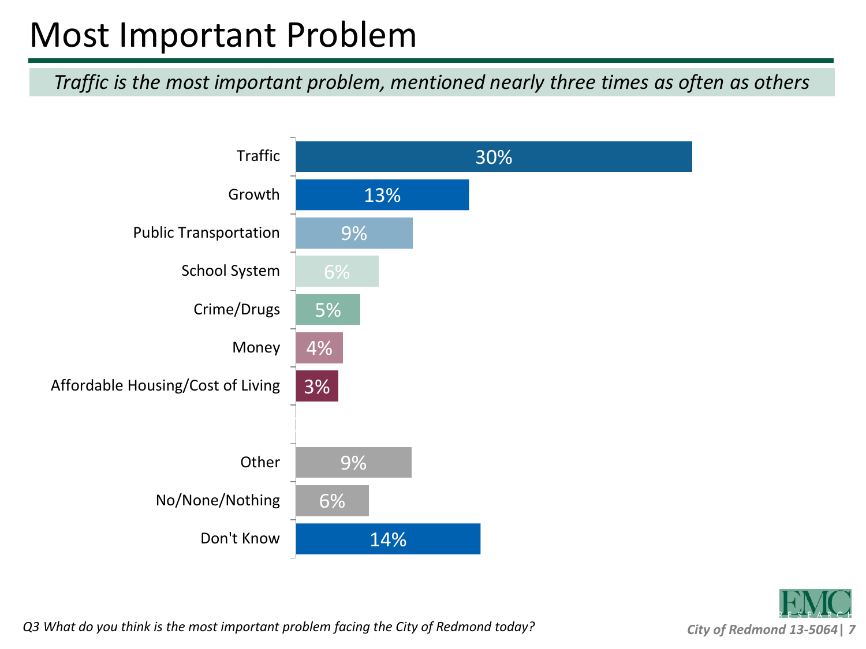#### Most Important Problem

*Traffic is the most important problem, mentioned nearly three times as often as others*





*Q3 What do you think is the most important problem facing the City of Redmond today?*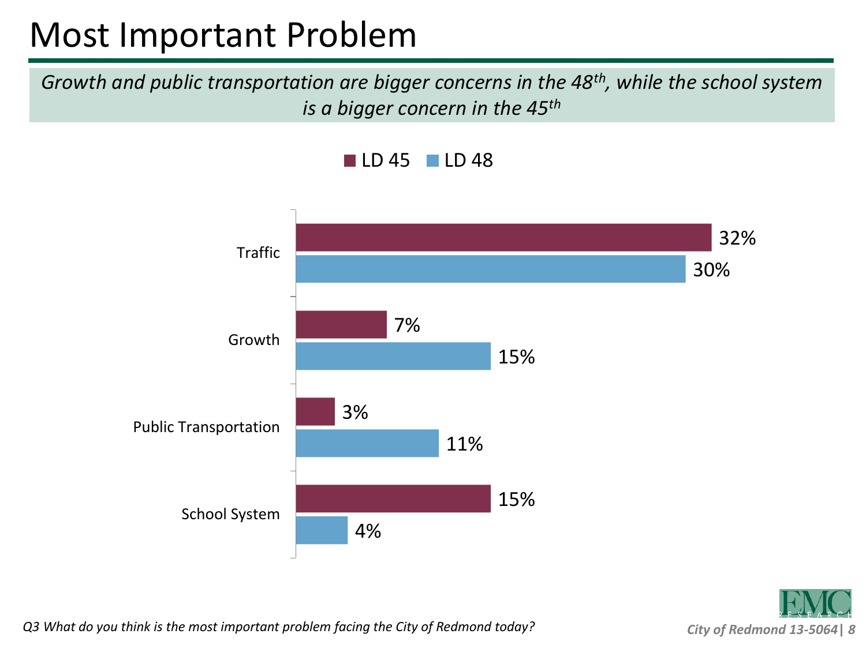#### Most Important Problem

*Growth and public transportation are bigger concerns in the 48th, while the school system is a bigger concern in the 45th*





*Q3 What do you think is the most important problem facing the City of Redmond today?*

*City of Redmond 13-5064***|** *8*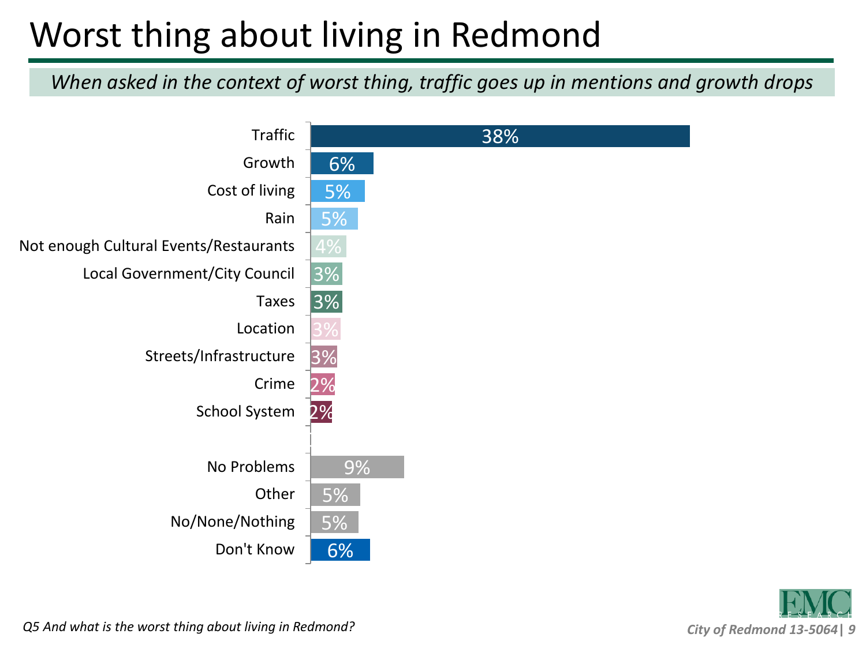## Worst thing about living in Redmond

*When asked in the context of worst thing, traffic goes up in mentions and growth drops*





*Q5 And what is the worst thing about living in Redmond?*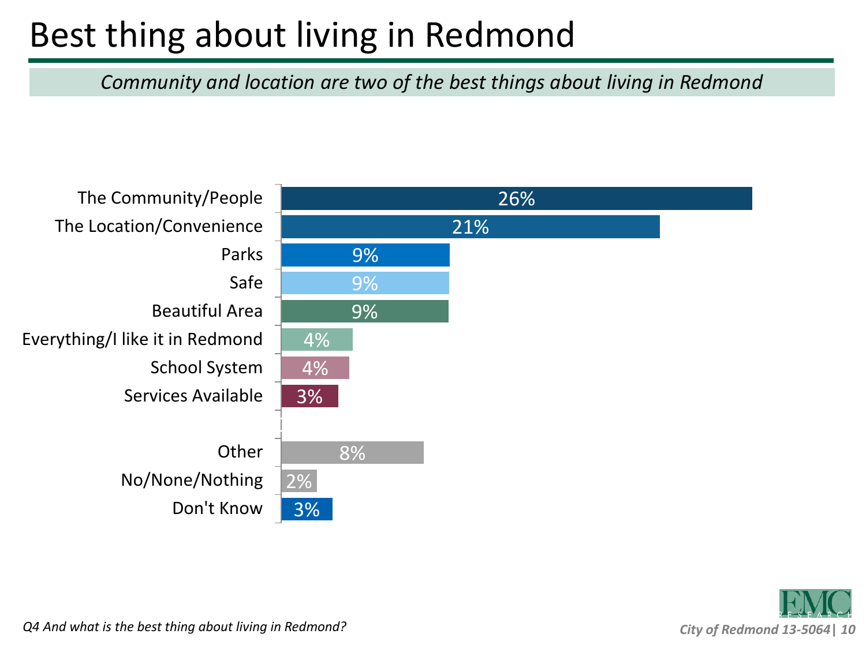### Best thing about living in Redmond

*Community and location are two of the best things about living in Redmond*





*Q4 And what is the best thing about living in Redmond?*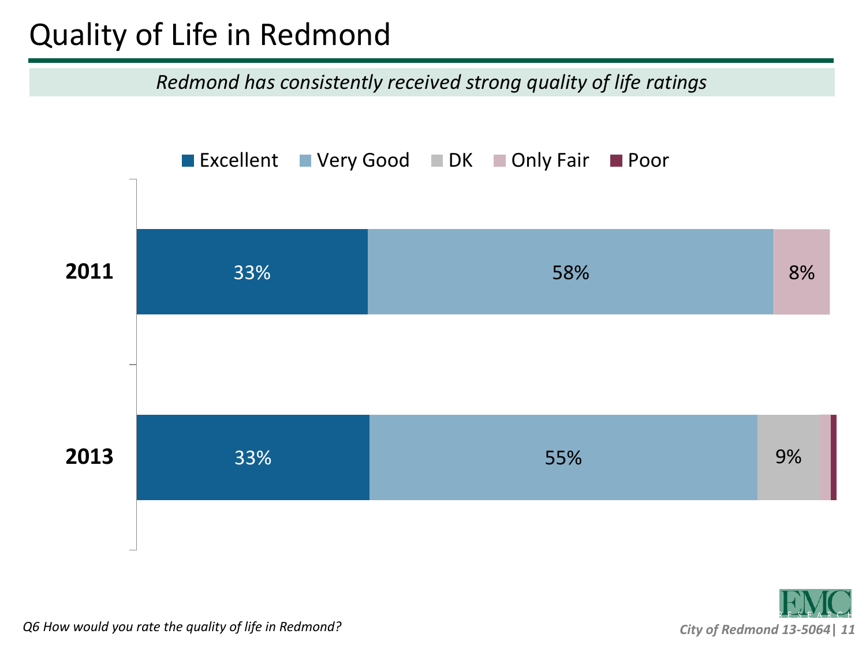#### Quality of Life in Redmond

*Redmond has consistently received strong quality of life ratings*





*Q6 How would you rate the quality of life in Redmond?*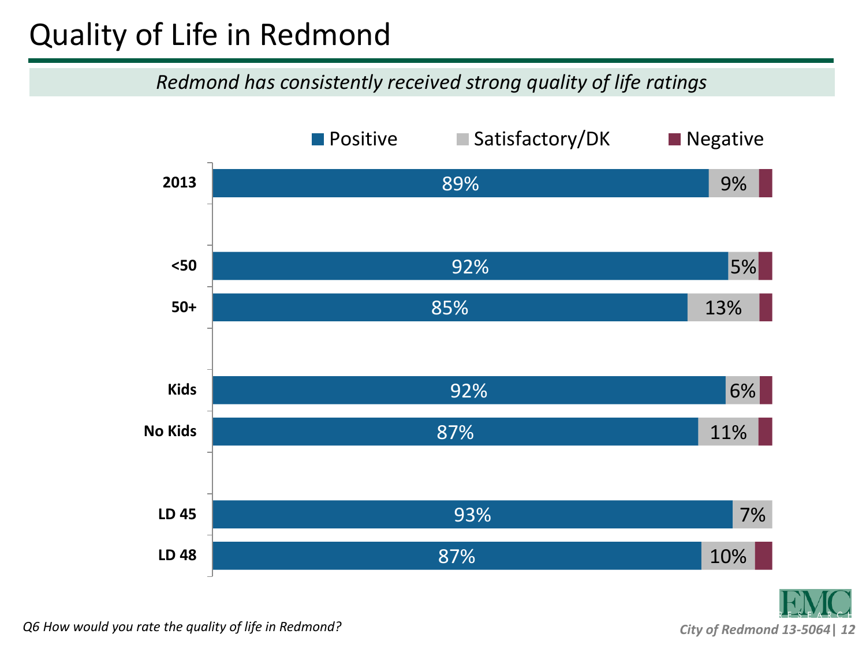#### Quality of Life in Redmond

#### *Redmond has consistently received strong quality of life ratings*



*City of Redmond 13-5064***|** *12*

*Q6 How would you rate the quality of life in Redmond?*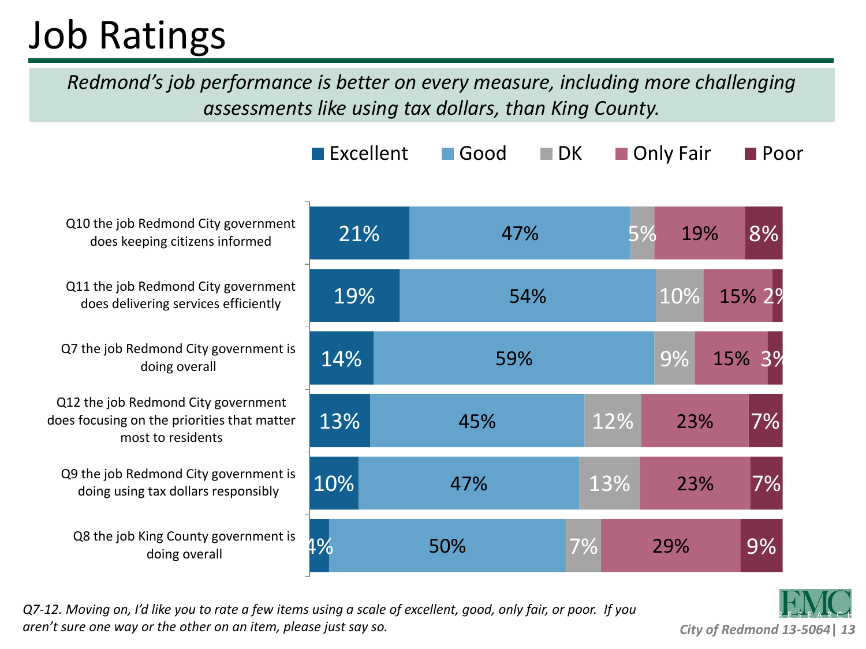## Job Ratings

*Redmond's job performance is better on every measure, including more challenging assessments like using tax dollars, than King County.*

|                                                                                                         | $\blacksquare$ Excellent | $\blacksquare$ Good | $\blacksquare$ DK | Only Fair | $\blacksquare$ Poor |
|---------------------------------------------------------------------------------------------------------|--------------------------|---------------------|-------------------|-----------|---------------------|
| Q10 the job Redmond City government<br>does keeping citizens informed                                   | 21%                      | 47%                 | 5%                | 19%       | 8%                  |
| Q11 the job Redmond City government<br>does delivering services efficiently                             | 19%                      | 54%                 |                   | 10%       | 15% 29              |
| Q7 the job Redmond City government is<br>doing overall                                                  | 14%                      | 59%                 |                   | 9%<br>15% | 3%                  |
| Q12 the job Redmond City government<br>does focusing on the priorities that matter<br>most to residents | 13%                      | 45%                 | 12%               | 23%       | 7%                  |
| Q9 the job Redmond City government is<br>doing using tax dollars responsibly                            | 10%                      | 47%                 | 13%               | 23%       | 7%                  |
| Q8 the job King County government is<br>doing overall                                                   | 4%                       | 50%                 | 7%                | 29%       | 9%                  |

*Q7-12. Moving on, I'd like you to rate a few items using a scale of excellent, good, only fair, or poor. If you aren't sure one way or the other on an item, please just say so.*

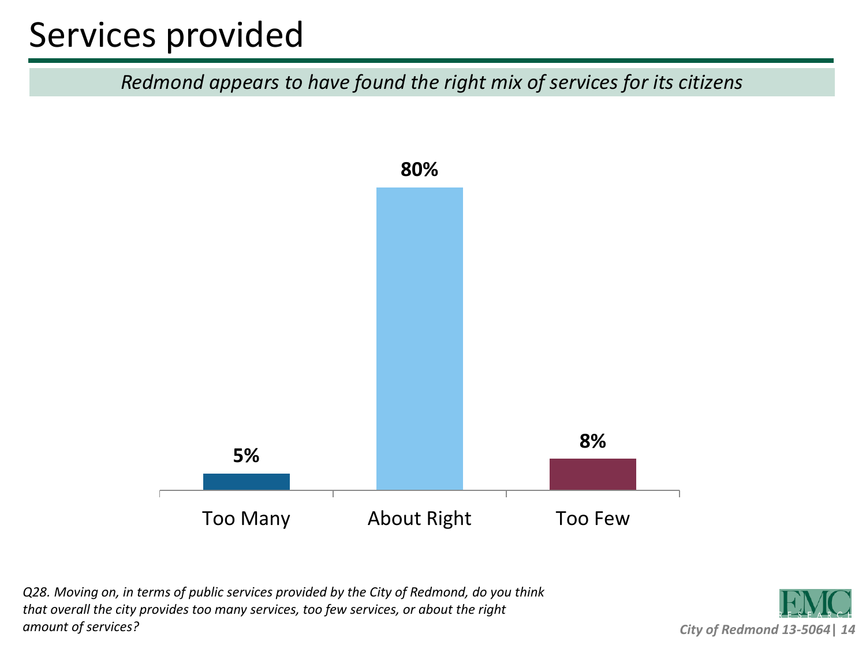#### Services provided

*Redmond appears to have found the right mix of services for its citizens*



*Q28. Moving on, in terms of public services provided by the City of Redmond, do you think that overall the city provides too many services, too few services, or about the right amount of services?*

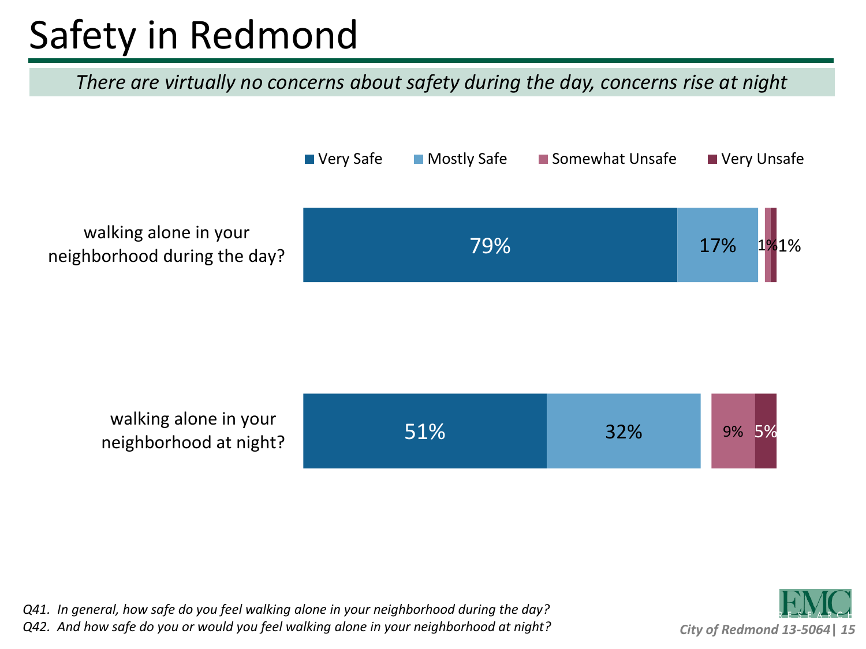# Safety in Redmond

*There are virtually no concerns about safety during the day, concerns rise at night*





*Q41. In general, how safe do you feel walking alone in your neighborhood during the day? Q42. And how safe do you or would you feel walking alone in your neighborhood at night?*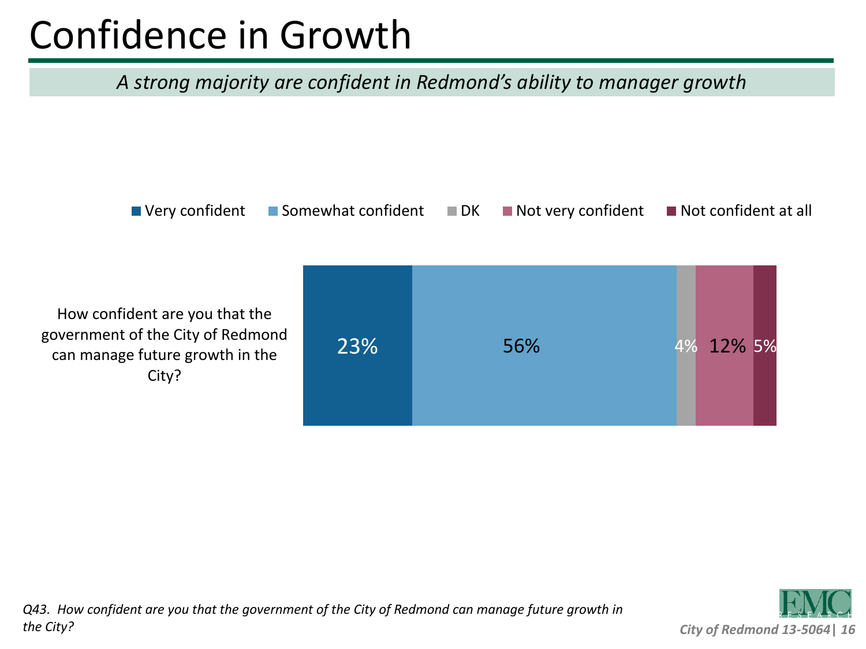# Confidence in Growth

#### *A strong majority are confident in Redmond's ability to manager growth*

 $\blacksquare$  Very confident  $\blacksquare$  Somewhat confident  $\blacksquare$  DK  $\blacksquare$  Not very confident  $\blacksquare$  Not confident at all

How confident are you that the government of the City of Redmond can manage future growth in the City?



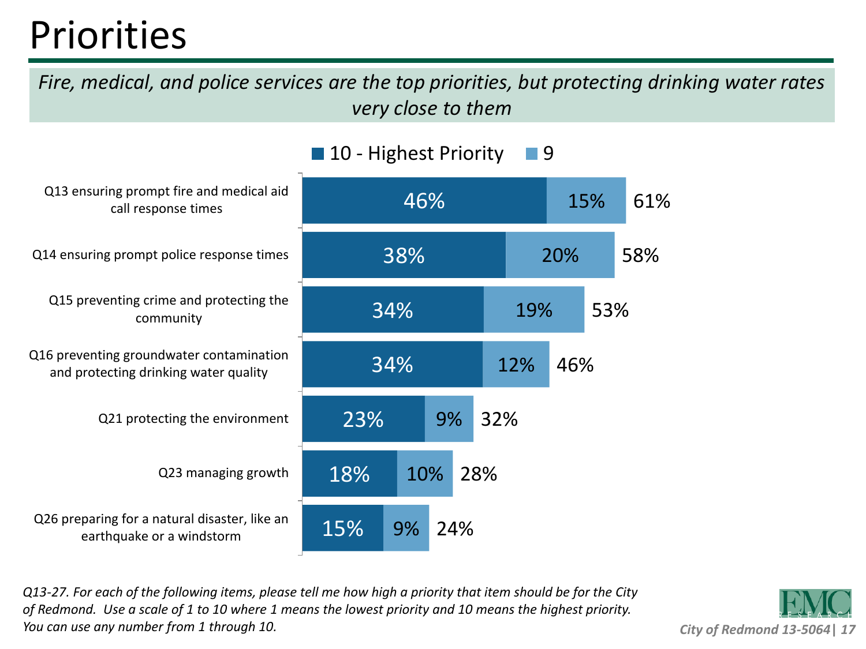## Priorities

*Fire, medical, and police services are the top priorities, but protecting drinking water rates very close to them*



*Q13-27. For each of the following items, please tell me how high a priority that item should be for the City of Redmond. Use a scale of 1 to 10 where 1 means the lowest priority and 10 means the highest priority. You can use any number from 1 through 10.*

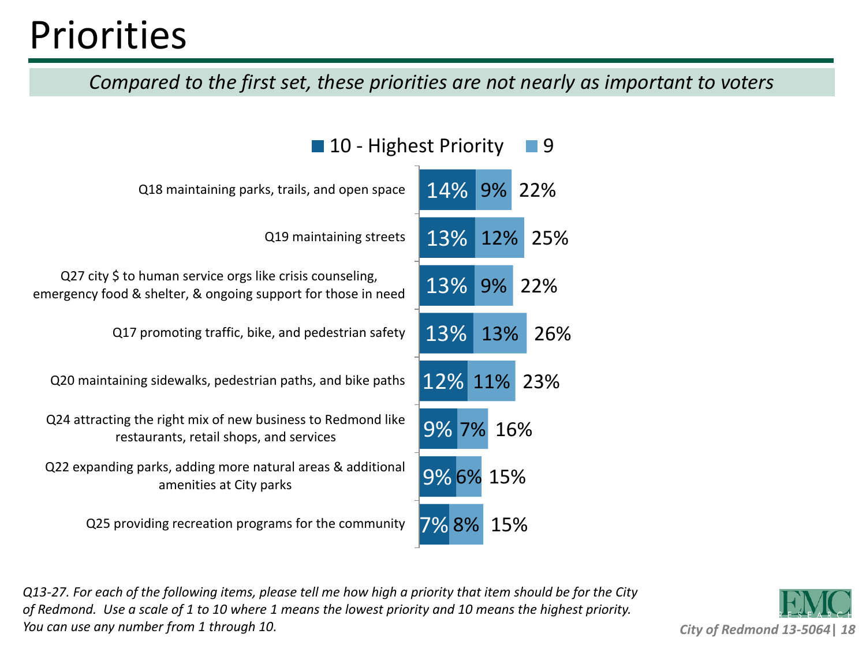## **Priorities**

*Compared to the first set, these priorities are not nearly as important to voters*

 $\blacksquare$  10 Highest Driority  $\blacksquare$  0

| <b>LU - HIRIICSL FIIUIILY</b>                                                                                              |             |     |        |
|----------------------------------------------------------------------------------------------------------------------------|-------------|-----|--------|
| Q18 maintaining parks, trails, and open space                                                                              | 14% 9% 22%  |     |        |
| Q19 maintaining streets                                                                                                    | 13% 12%     |     | 25%    |
| Q27 city \$ to human service orgs like crisis counseling,<br>emergency food & shelter, & ongoing support for those in need | 13%         |     | 9% 22% |
| Q17 promoting traffic, bike, and pedestrian safety                                                                         | 13%         | 13% | 26%    |
| Q20 maintaining sidewalks, pedestrian paths, and bike paths                                                                | 12% 11% 23% |     |        |
| Q24 attracting the right mix of new business to Redmond like<br>restaurants, retail shops, and services                    | 9% 7%       | 16% |        |
| Q22 expanding parks, adding more natural areas & additional<br>amenities at City parks                                     | 9% 6% 15%   |     |        |
| Q25 providing recreation programs for the community                                                                        | 7% 8%       | 15% |        |

*Q13-27. For each of the following items, please tell me how high a priority that item should be for the City of Redmond. Use a scale of 1 to 10 where 1 means the lowest priority and 10 means the highest priority. You can use any number from 1 through 10.*

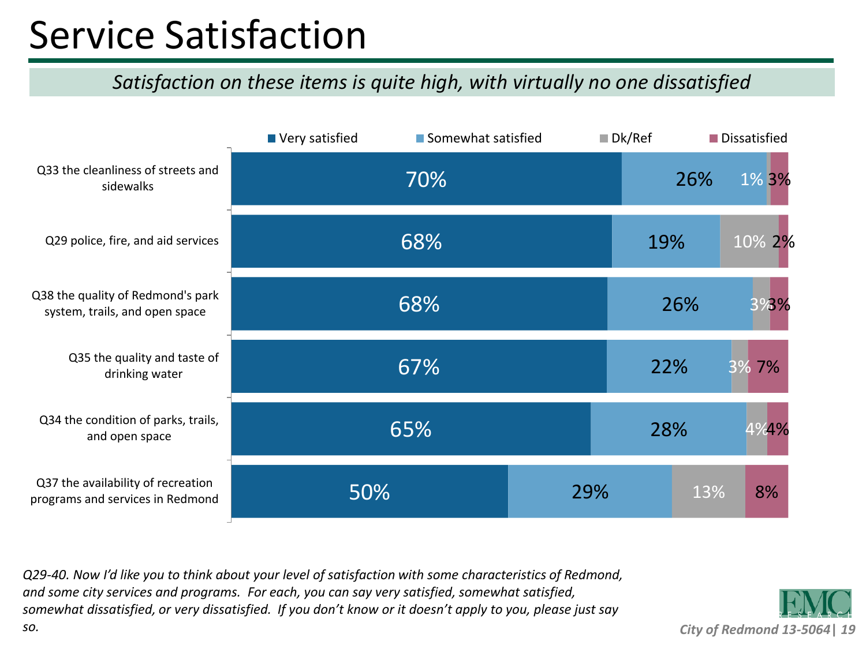## Service Satisfaction

#### *Satisfaction on these items is quite high, with virtually no one dissatisfied*



*Q29-40. Now I'd like you to think about your level of satisfaction with some characteristics of Redmond, and some city services and programs. For each, you can say very satisfied, somewhat satisfied, somewhat dissatisfied, or very dissatisfied. If you don't know or it doesn't apply to you, please just say so.*

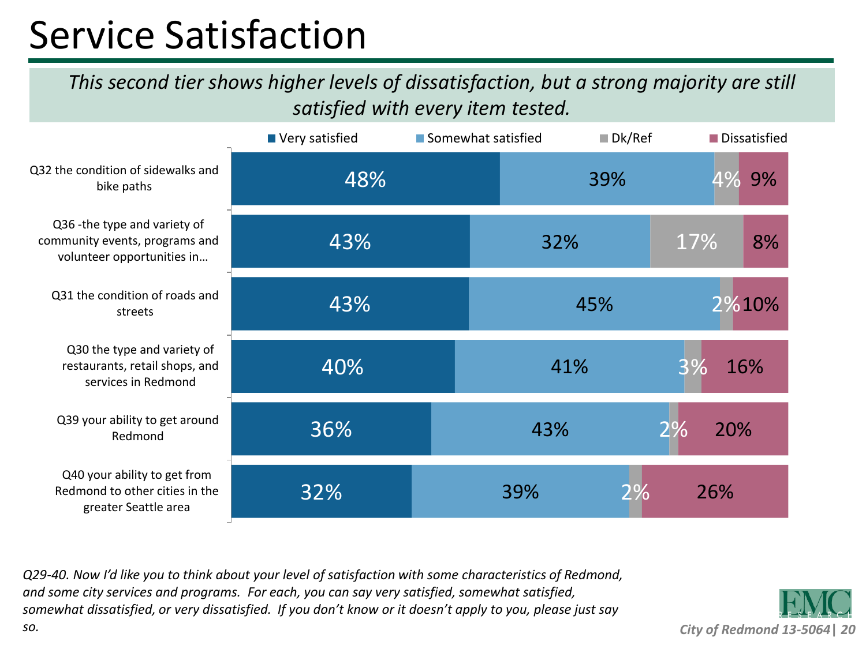## Service Satisfaction

*This second tier shows higher levels of dissatisfaction, but a strong majority are still satisfied with every item tested.*

|                                                                                               | Very satisfied | Somewhat satisfied |     | $\blacksquare$ Dk/Ref |     | Dissatisfied |
|-----------------------------------------------------------------------------------------------|----------------|--------------------|-----|-----------------------|-----|--------------|
| Q32 the condition of sidewalks and<br>bike paths                                              | 48%            |                    | 39% |                       | 4%  | 9%           |
| Q36 - the type and variety of<br>community events, programs and<br>volunteer opportunities in | 43%            |                    | 32% |                       | 17% | 8%           |
| Q31 the condition of roads and<br>streets                                                     | 43%            |                    | 45% |                       |     | 2%10%        |
| Q30 the type and variety of<br>restaurants, retail shops, and<br>services in Redmond          | 40%            |                    | 41% |                       | 3%  | 16%          |
| Q39 your ability to get around<br>Redmond                                                     | 36%            |                    | 43% | 2%                    | 20% |              |
| Q40 your ability to get from<br>Redmond to other cities in the<br>greater Seattle area        | 32%            |                    | 39% | 2%                    | 26% |              |

*Q29-40. Now I'd like you to think about your level of satisfaction with some characteristics of Redmond, and some city services and programs. For each, you can say very satisfied, somewhat satisfied, somewhat dissatisfied, or very dissatisfied. If you don't know or it doesn't apply to you, please just say* 



*so.*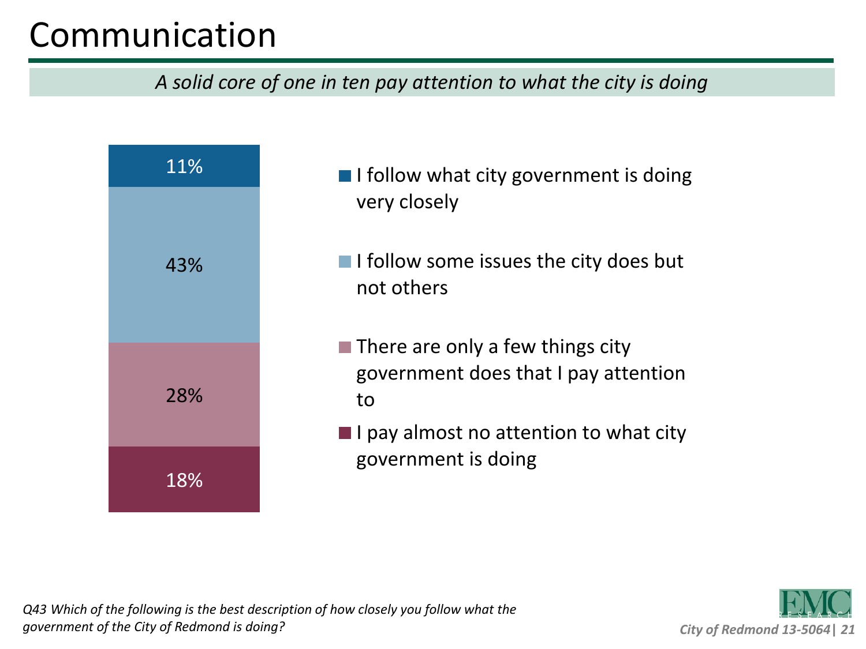### Communication

*A solid core of one in ten pay attention to what the city is doing*





*Q43 Which of the following is the best description of how closely you follow what the government of the City of Redmond is doing?*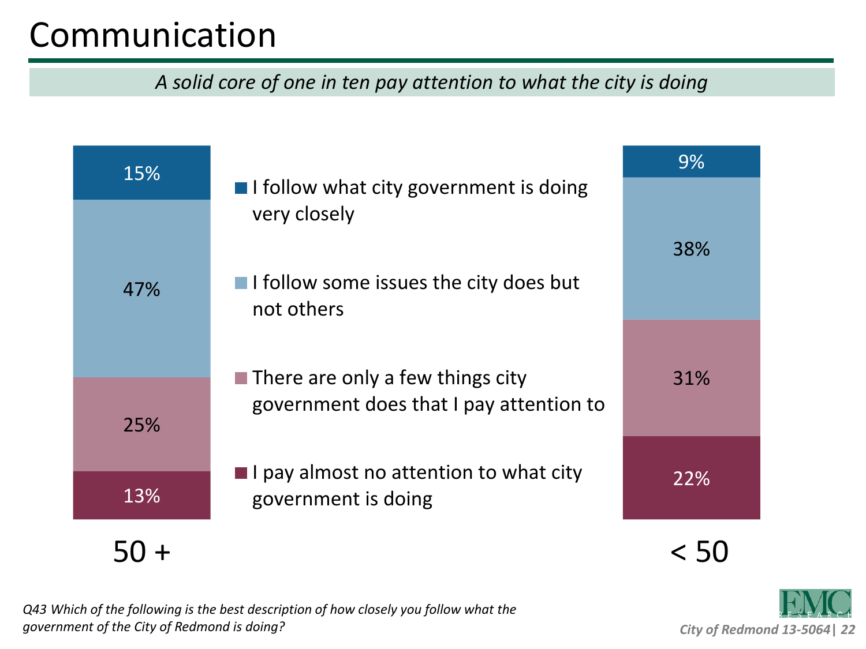### Communication

*A solid core of one in ten pay attention to what the city is doing*

| 15% |                                                                                                                                 | 9%  |
|-----|---------------------------------------------------------------------------------------------------------------------------------|-----|
| 47% | $\blacksquare$ I follow what city government is doing<br>very closely<br>I I follow some issues the city does but<br>not others | 38% |
| 25% | $\blacksquare$ There are only a few things city<br>government does that I pay attention to                                      | 31% |
| 13% | $\blacksquare$ I pay almost no attention to what city<br>government is doing                                                    |     |
|     |                                                                                                                                 |     |

*Q43 Which of the following is the best description of how closely you follow what the government of the City of Redmond is doing?*

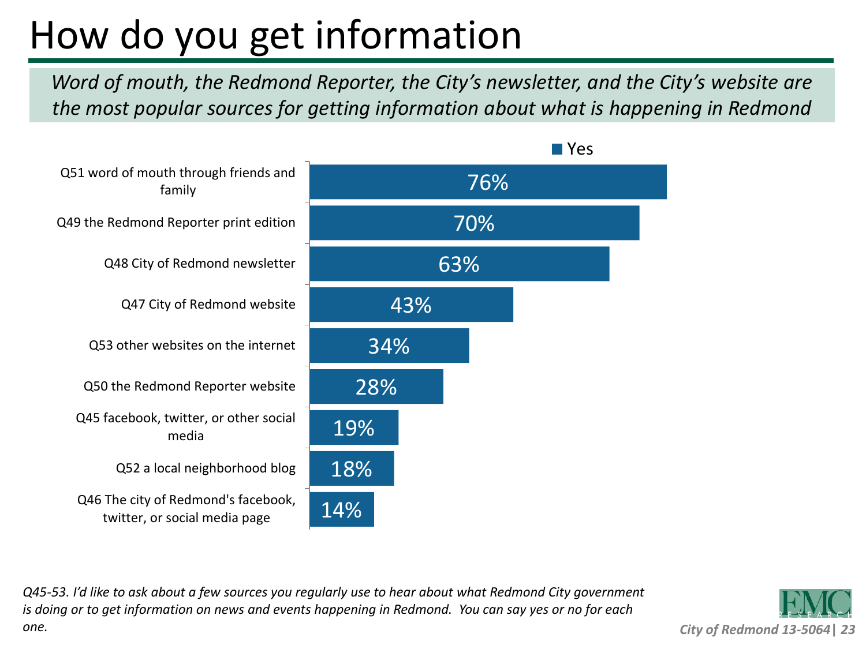# How do you get information

*Word of mouth, the Redmond Reporter, the City's newsletter, and the City's website are the most popular sources for getting information about what is happening in Redmond*



*Q45-53. I'd like to ask about a few sources you regularly use to hear about what Redmond City government is doing or to get information on news and events happening in Redmond. You can say yes or no for each one.*

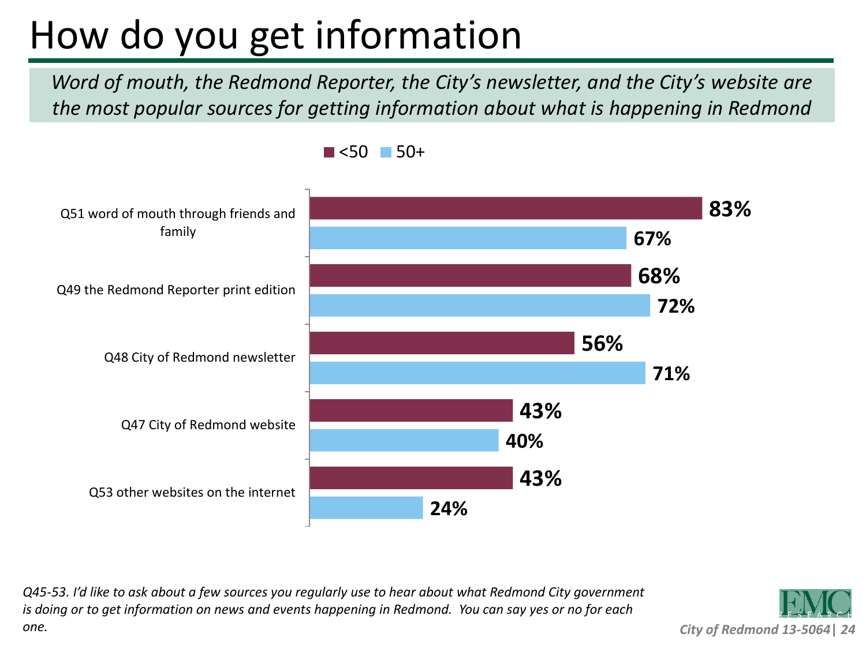# How do you get information

*Word of mouth, the Redmond Reporter, the City's newsletter, and the City's website are the most popular sources for getting information about what is happening in Redmond*



 $\blacksquare$  <50  $\blacksquare$  50+

*Q45-53. I'd like to ask about a few sources you regularly use to hear about what Redmond City government is doing or to get information on news and events happening in Redmond. You can say yes or no for each one.*

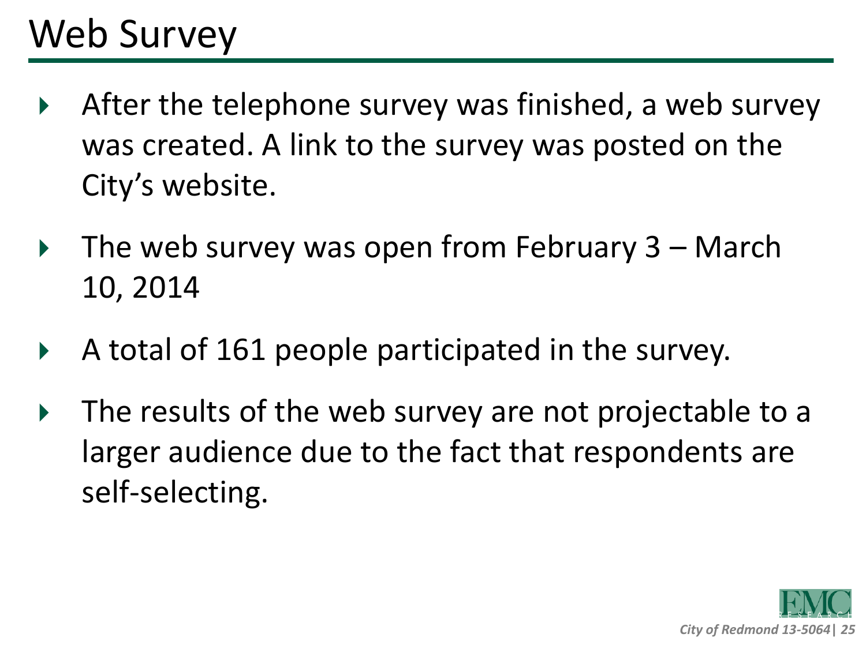## Web Survey

- After the telephone survey was finished, a web survey was created. A link to the survey was posted on the City's website.
- $\triangleright$  The web survey was open from February 3 March 10, 2014
- A total of 161 people participated in the survey.
- ▶ The results of the web survey are not projectable to a larger audience due to the fact that respondents are self-selecting.